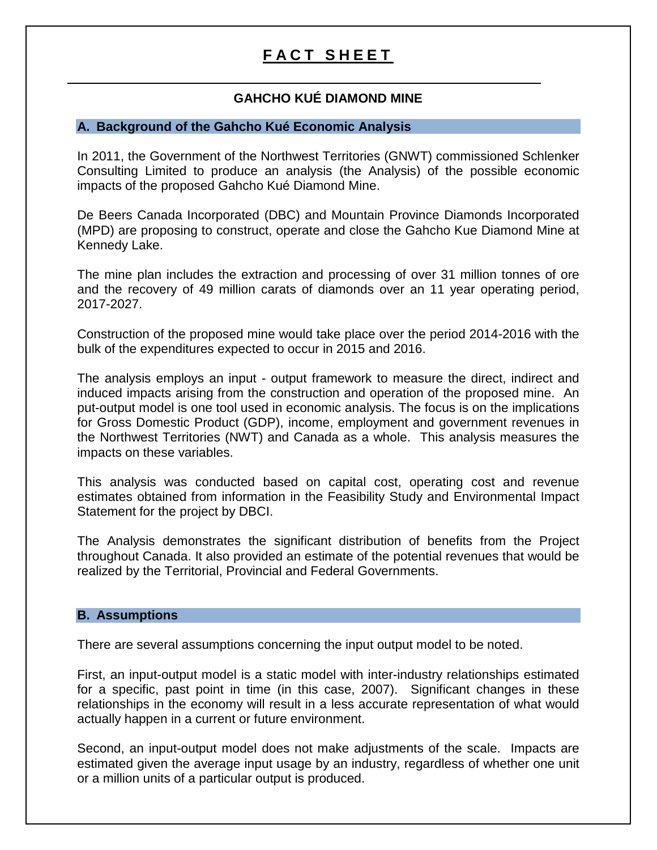# **FACT SHEET**

# **GAHCHO KUÉ DIAMOND MINE**

## **A. Background of the Gahcho Kué Economic Analysis**

In 2011, the Government of the Northwest Territories (GNWT) commissioned Schlenker Consulting Limited to produce an analysis (the Analysis) of the possible economic impacts of the proposed Gahcho Kué Diamond Mine.

De Beers Canada Incorporated (DBC) and Mountain Province Diamonds Incorporated (MPD) are proposing to construct, operate and close the Gahcho Kue Diamond Mine at Kennedy Lake.

The mine plan includes the extraction and processing of over 31 million tonnes of ore and the recovery of 49 million carats of diamonds over an 11 year operating period, 2017-2027.

Construction of the proposed mine would take place over the period 2014-2016 with the bulk of the expenditures expected to occur in 2015 and 2016.

The analysis employs an input - output framework to measure the direct, indirect and induced impacts arising from the construction and operation of the proposed mine. An put-output model is one tool used in economic analysis. The focus is on the implications for Gross Domestic Product (GDP), income, employment and government revenues in the Northwest Territories (NWT) and Canada as a whole. This analysis measures the impacts on these variables.

This analysis was conducted based on capital cost, operating cost and revenue estimates obtained from information in the Feasibility Study and Environmental Impact Statement for the project by DBCI.

The Analysis demonstrates the significant distribution of benefits from the Project throughout Canada. It also provided an estimate of the potential revenues that would be realized by the Territorial, Provincial and Federal Governments.

#### **B. Assumptions**

There are several assumptions concerning the input output model to be noted.

First, an input-output model is a static model with inter-industry relationships estimated for a specific, past point in time (in this case, 2007). Significant changes in these relationships in the economy will result in a less accurate representation of what would actually happen in a current or future environment.

Second, an input-output model does not make adjustments of the scale. Impacts are estimated given the average input usage by an industry, regardless of whether one unit or a million units of a particular output is produced.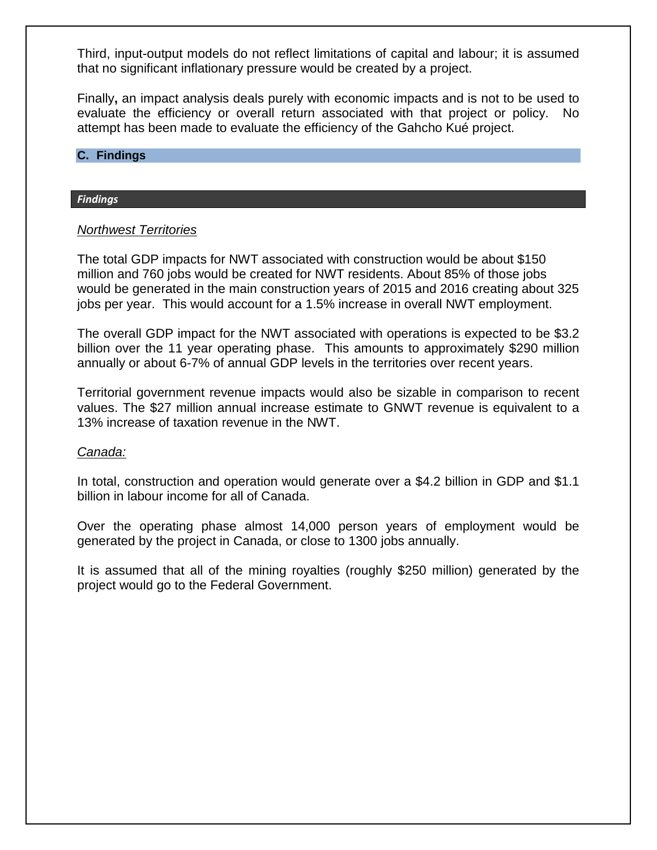Third, input-output models do not reflect limitations of capital and labour; it is assumed that no significant inflationary pressure would be created by a project.

Finally**,** an impact analysis deals purely with economic impacts and is not to be used to evaluate the efficiency or overall return associated with that project or policy. No attempt has been made to evaluate the efficiency of the Gahcho Kué project.

#### **C. Findings**

#### *Findings*

## *Northwest Territories*

The total GDP impacts for NWT associated with construction would be about \$150 million and 760 jobs would be created for NWT residents. About 85% of those jobs would be generated in the main construction years of 2015 and 2016 creating about 325 jobs per year. This would account for a 1.5% increase in overall NWT employment.

The overall GDP impact for the NWT associated with operations is expected to be \$3.2 billion over the 11 year operating phase. This amounts to approximately \$290 million annually or about 6-7% of annual GDP levels in the territories over recent years.

Territorial government revenue impacts would also be sizable in comparison to recent values. The \$27 million annual increase estimate to GNWT revenue is equivalent to a 13% increase of taxation revenue in the NWT.

## *Canada:*

In total, construction and operation would generate over a \$4.2 billion in GDP and \$1.1 billion in labour income for all of Canada.

Over the operating phase almost 14,000 person years of employment would be generated by the project in Canada, or close to 1300 jobs annually.

It is assumed that all of the mining royalties (roughly \$250 million) generated by the project would go to the Federal Government.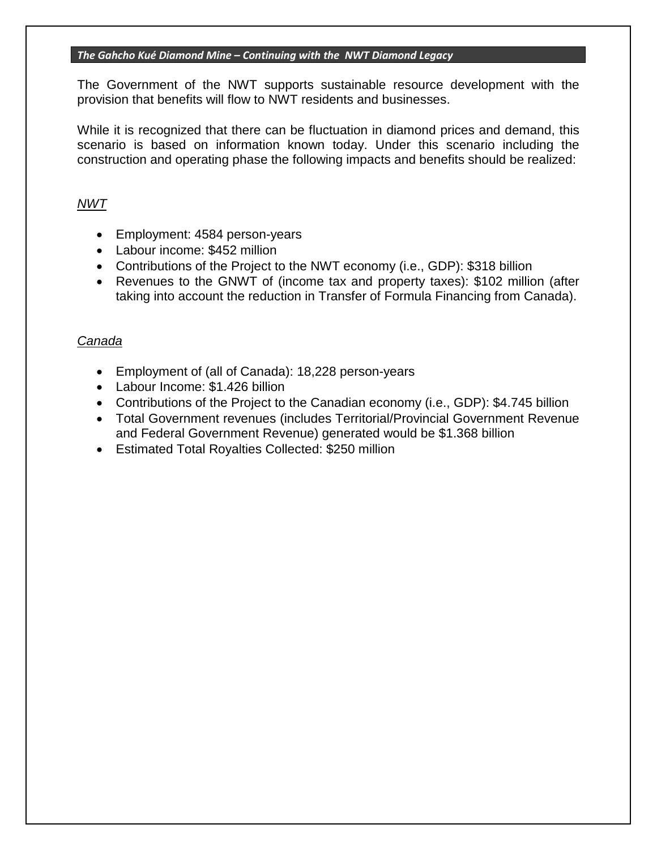#### *The Gahcho Kué Diamond Mine – Continuing with the NWT Diamond Legacy*

The Government of the NWT supports sustainable resource development with the provision that benefits will flow to NWT residents and businesses.

While it is recognized that there can be fluctuation in diamond prices and demand, this scenario is based on information known today. Under this scenario including the construction and operating phase the following impacts and benefits should be realized:

# *NWT*

- Employment: 4584 person-years
- Labour income: \$452 million
- Contributions of the Project to the NWT economy (i.e., GDP): \$318 billion
- Revenues to the GNWT of (income tax and property taxes): \$102 million (after taking into account the reduction in Transfer of Formula Financing from Canada).

## *Canada*

- Employment of (all of Canada): 18,228 person-years
- Labour Income: \$1,426 billion
- Contributions of the Project to the Canadian economy (i.e., GDP): \$4.745 billion
- Total Government revenues (includes Territorial/Provincial Government Revenue and Federal Government Revenue) generated would be \$1.368 billion
- Estimated Total Royalties Collected: \$250 million